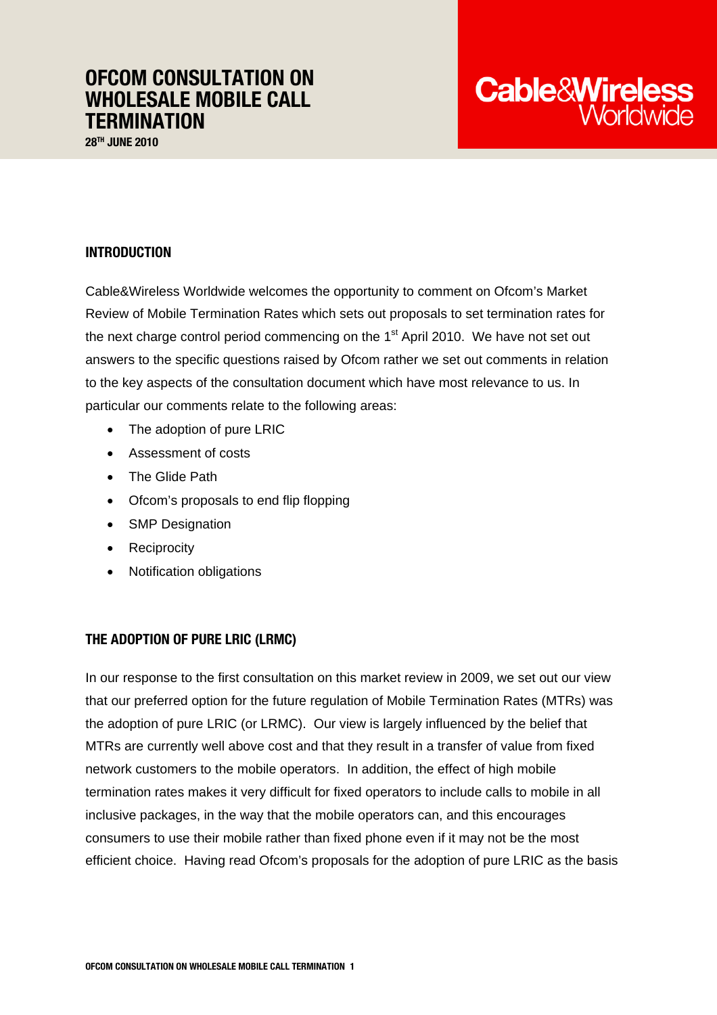# OFCOM CONSULTATION ON WHOLESALE MOBILE CALL **TERMINATION**

28<sup>TH</sup> JUNE 2010

# INTRODUCTION

Cable&Wireless Worldwide welcomes the opportunity to comment on Ofcom's Market Review of Mobile Termination Rates which sets out proposals to set termination rates for the next charge control period commencing on the  $1<sup>st</sup>$  April 2010. We have not set out answers to the specific questions raised by Ofcom rather we set out comments in relation to the key aspects of the consultation document which have most relevance to us. In particular our comments relate to the following areas:

- The adoption of pure LRIC
- Assessment of costs
- The Glide Path
- Ofcom's proposals to end flip flopping
- SMP Designation
- Reciprocity
- Notification obligations

## THE ADOPTION OF PURE LRIC (LRMC)

In our response to the first consultation on this market review in 2009, we set out our view that our preferred option for the future regulation of Mobile Termination Rates (MTRs) was the adoption of pure LRIC (or LRMC). Our view is largely influenced by the belief that MTRs are currently well above cost and that they result in a transfer of value from fixed network customers to the mobile operators. In addition, the effect of high mobile termination rates makes it very difficult for fixed operators to include calls to mobile in all inclusive packages, in the way that the mobile operators can, and this encourages consumers to use their mobile rather than fixed phone even if it may not be the most efficient choice. Having read Ofcom's proposals for the adoption of pure LRIC as the basis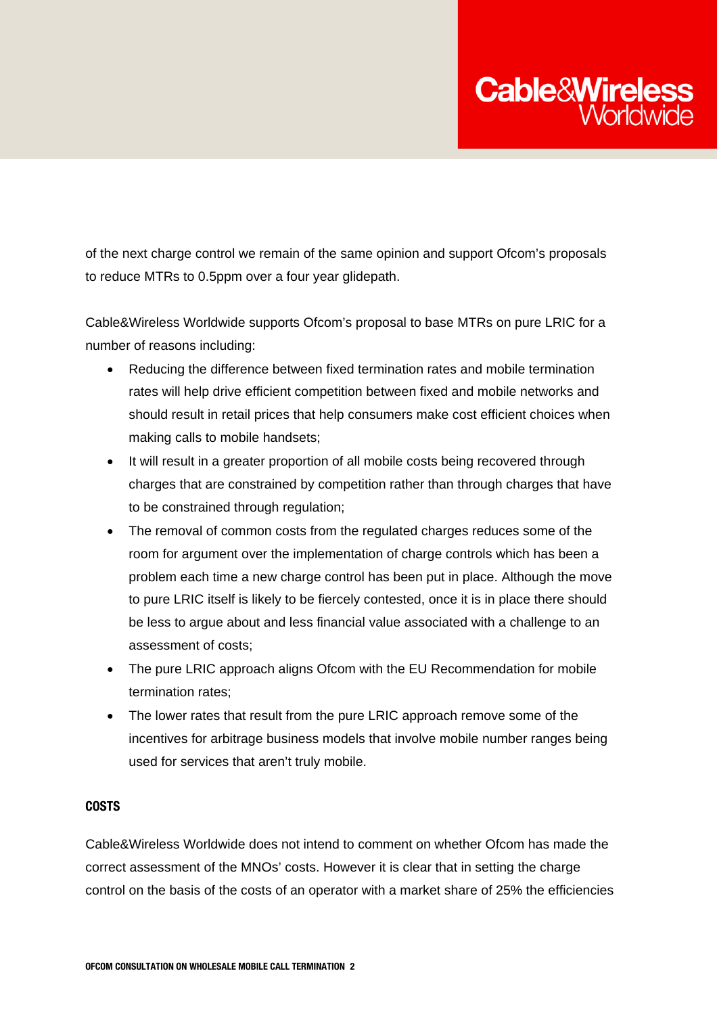

of the next charge control we remain of the same opinion and support Ofcom's proposals to reduce MTRs to 0.5ppm over a four year glidepath.

Cable&Wireless Worldwide supports Ofcom's proposal to base MTRs on pure LRIC for a number of reasons including:

- Reducing the difference between fixed termination rates and mobile termination rates will help drive efficient competition between fixed and mobile networks and should result in retail prices that help consumers make cost efficient choices when making calls to mobile handsets;
- It will result in a greater proportion of all mobile costs being recovered through charges that are constrained by competition rather than through charges that have to be constrained through regulation;
- The removal of common costs from the regulated charges reduces some of the room for argument over the implementation of charge controls which has been a problem each time a new charge control has been put in place. Although the move to pure LRIC itself is likely to be fiercely contested, once it is in place there should be less to argue about and less financial value associated with a challenge to an assessment of costs;
- The pure LRIC approach aligns Ofcom with the EU Recommendation for mobile termination rates;
- The lower rates that result from the pure LRIC approach remove some of the incentives for arbitrage business models that involve mobile number ranges being used for services that aren't truly mobile.

#### COSTS

Cable&Wireless Worldwide does not intend to comment on whether Ofcom has made the correct assessment of the MNOs' costs. However it is clear that in setting the charge control on the basis of the costs of an operator with a market share of 25% the efficiencies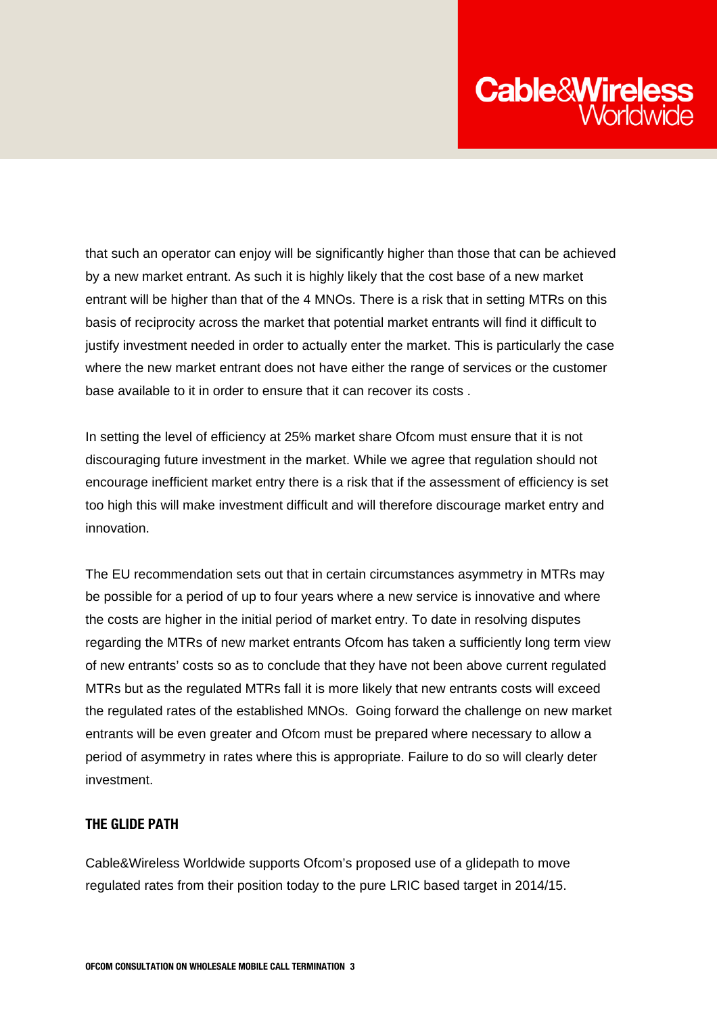

that such an operator can enjoy will be significantly higher than those that can be achieved by a new market entrant. As such it is highly likely that the cost base of a new market entrant will be higher than that of the 4 MNOs. There is a risk that in setting MTRs on this basis of reciprocity across the market that potential market entrants will find it difficult to justify investment needed in order to actually enter the market. This is particularly the case where the new market entrant does not have either the range of services or the customer base available to it in order to ensure that it can recover its costs .

In setting the level of efficiency at 25% market share Ofcom must ensure that it is not discouraging future investment in the market. While we agree that regulation should not encourage inefficient market entry there is a risk that if the assessment of efficiency is set too high this will make investment difficult and will therefore discourage market entry and innovation.

The EU recommendation sets out that in certain circumstances asymmetry in MTRs may be possible for a period of up to four years where a new service is innovative and where the costs are higher in the initial period of market entry. To date in resolving disputes regarding the MTRs of new market entrants Ofcom has taken a sufficiently long term view of new entrants' costs so as to conclude that they have not been above current regulated MTRs but as the regulated MTRs fall it is more likely that new entrants costs will exceed the regulated rates of the established MNOs. Going forward the challenge on new market entrants will be even greater and Ofcom must be prepared where necessary to allow a period of asymmetry in rates where this is appropriate. Failure to do so will clearly deter investment.

## THE GLIDE PATH

Cable&Wireless Worldwide supports Ofcom's proposed use of a glidepath to move regulated rates from their position today to the pure LRIC based target in 2014/15.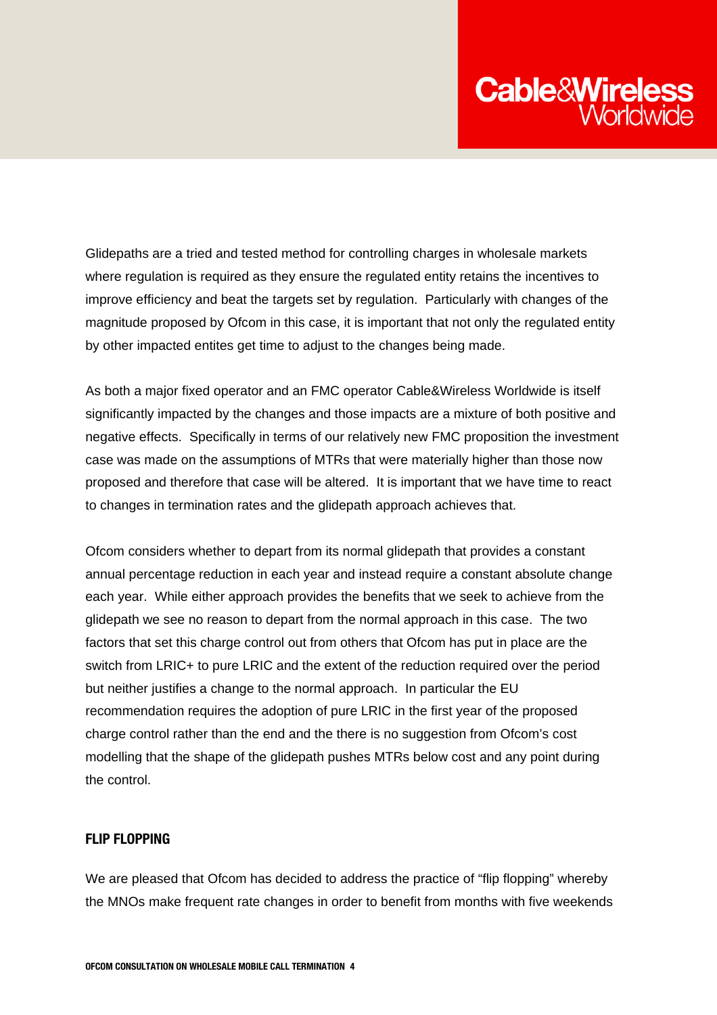

Glidepaths are a tried and tested method for controlling charges in wholesale markets where regulation is required as they ensure the regulated entity retains the incentives to improve efficiency and beat the targets set by regulation. Particularly with changes of the magnitude proposed by Ofcom in this case, it is important that not only the regulated entity by other impacted entites get time to adjust to the changes being made.

As both a major fixed operator and an FMC operator Cable&Wireless Worldwide is itself significantly impacted by the changes and those impacts are a mixture of both positive and negative effects. Specifically in terms of our relatively new FMC proposition the investment case was made on the assumptions of MTRs that were materially higher than those now proposed and therefore that case will be altered. It is important that we have time to react to changes in termination rates and the glidepath approach achieves that.

Ofcom considers whether to depart from its normal glidepath that provides a constant annual percentage reduction in each year and instead require a constant absolute change each year. While either approach provides the benefits that we seek to achieve from the glidepath we see no reason to depart from the normal approach in this case. The two factors that set this charge control out from others that Ofcom has put in place are the switch from LRIC+ to pure LRIC and the extent of the reduction required over the period but neither justifies a change to the normal approach. In particular the EU recommendation requires the adoption of pure LRIC in the first year of the proposed charge control rather than the end and the there is no suggestion from Ofcom's cost modelling that the shape of the glidepath pushes MTRs below cost and any point during the control.

### FLIP FLOPPING

We are pleased that Ofcom has decided to address the practice of "flip flopping" whereby the MNOs make frequent rate changes in order to benefit from months with five weekends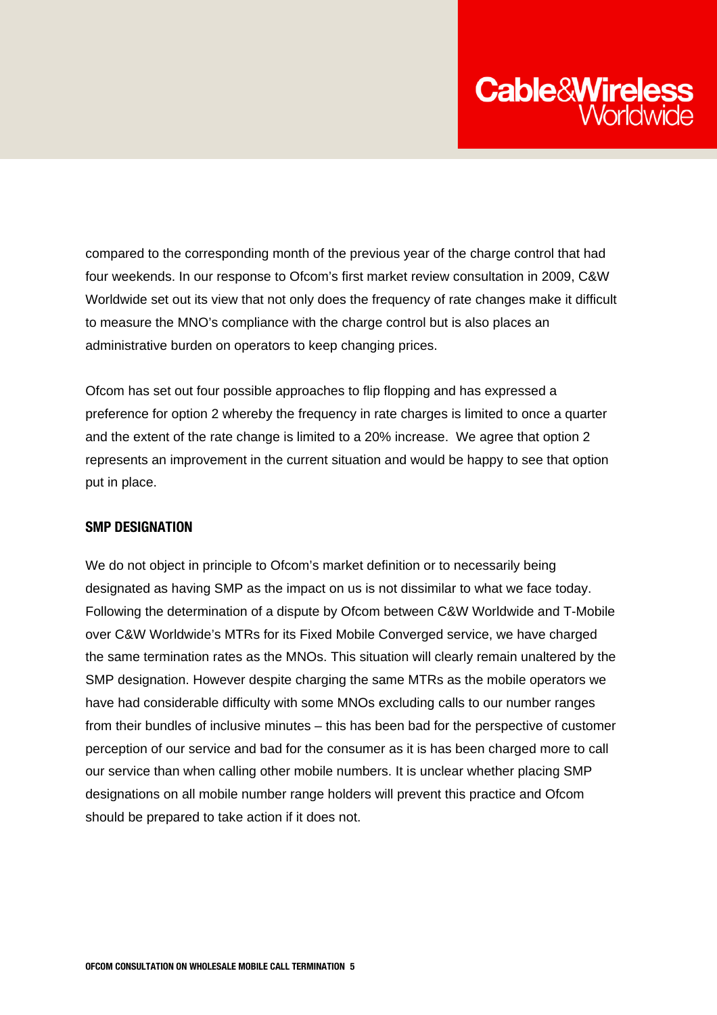

compared to the corresponding month of the previous year of the charge control that had four weekends. In our response to Ofcom's first market review consultation in 2009, C&W Worldwide set out its view that not only does the frequency of rate changes make it difficult to measure the MNO's compliance with the charge control but is also places an administrative burden on operators to keep changing prices.

Ofcom has set out four possible approaches to flip flopping and has expressed a preference for option 2 whereby the frequency in rate charges is limited to once a quarter and the extent of the rate change is limited to a 20% increase. We agree that option 2 represents an improvement in the current situation and would be happy to see that option put in place.

#### SMP DESIGNATION

We do not object in principle to Ofcom's market definition or to necessarily being designated as having SMP as the impact on us is not dissimilar to what we face today. Following the determination of a dispute by Ofcom between C&W Worldwide and T-Mobile over C&W Worldwide's MTRs for its Fixed Mobile Converged service, we have charged the same termination rates as the MNOs. This situation will clearly remain unaltered by the SMP designation. However despite charging the same MTRs as the mobile operators we have had considerable difficulty with some MNOs excluding calls to our number ranges from their bundles of inclusive minutes – this has been bad for the perspective of customer perception of our service and bad for the consumer as it is has been charged more to call our service than when calling other mobile numbers. It is unclear whether placing SMP designations on all mobile number range holders will prevent this practice and Ofcom should be prepared to take action if it does not.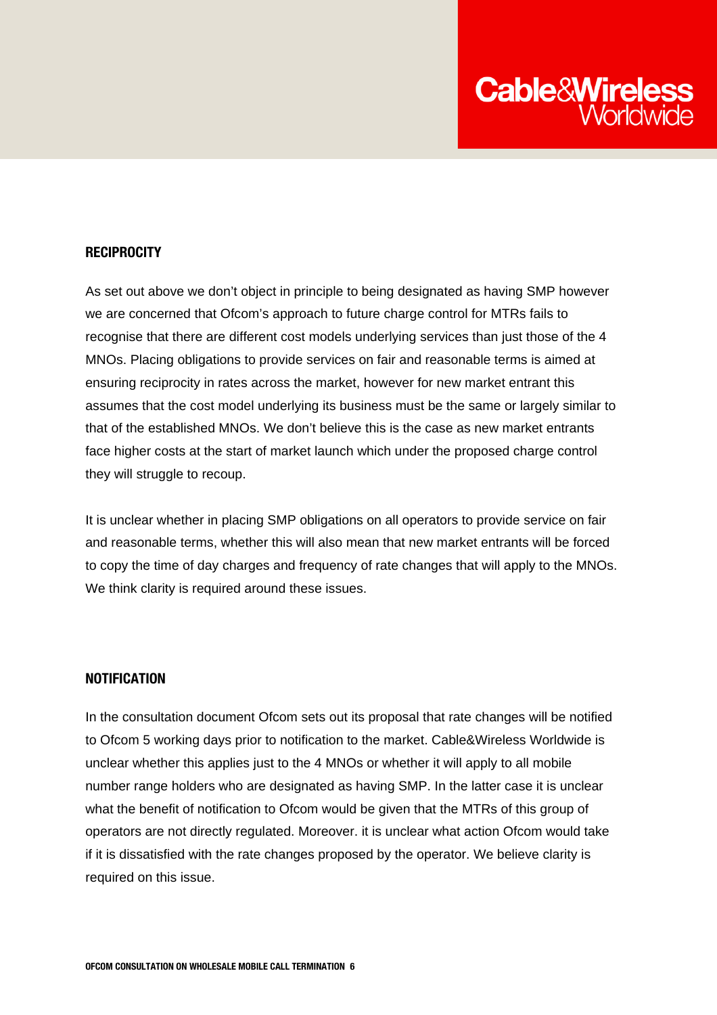

#### **RECIPROCITY**

As set out above we don't object in principle to being designated as having SMP however we are concerned that Ofcom's approach to future charge control for MTRs fails to recognise that there are different cost models underlying services than just those of the 4 MNOs. Placing obligations to provide services on fair and reasonable terms is aimed at ensuring reciprocity in rates across the market, however for new market entrant this assumes that the cost model underlying its business must be the same or largely similar to that of the established MNOs. We don't believe this is the case as new market entrants face higher costs at the start of market launch which under the proposed charge control they will struggle to recoup.

It is unclear whether in placing SMP obligations on all operators to provide service on fair and reasonable terms, whether this will also mean that new market entrants will be forced to copy the time of day charges and frequency of rate changes that will apply to the MNOs. We think clarity is required around these issues.

### **NOTIFICATION**

In the consultation document Ofcom sets out its proposal that rate changes will be notified to Ofcom 5 working days prior to notification to the market. Cable&Wireless Worldwide is unclear whether this applies just to the 4 MNOs or whether it will apply to all mobile number range holders who are designated as having SMP. In the latter case it is unclear what the benefit of notification to Ofcom would be given that the MTRs of this group of operators are not directly regulated. Moreover. it is unclear what action Ofcom would take if it is dissatisfied with the rate changes proposed by the operator. We believe clarity is required on this issue.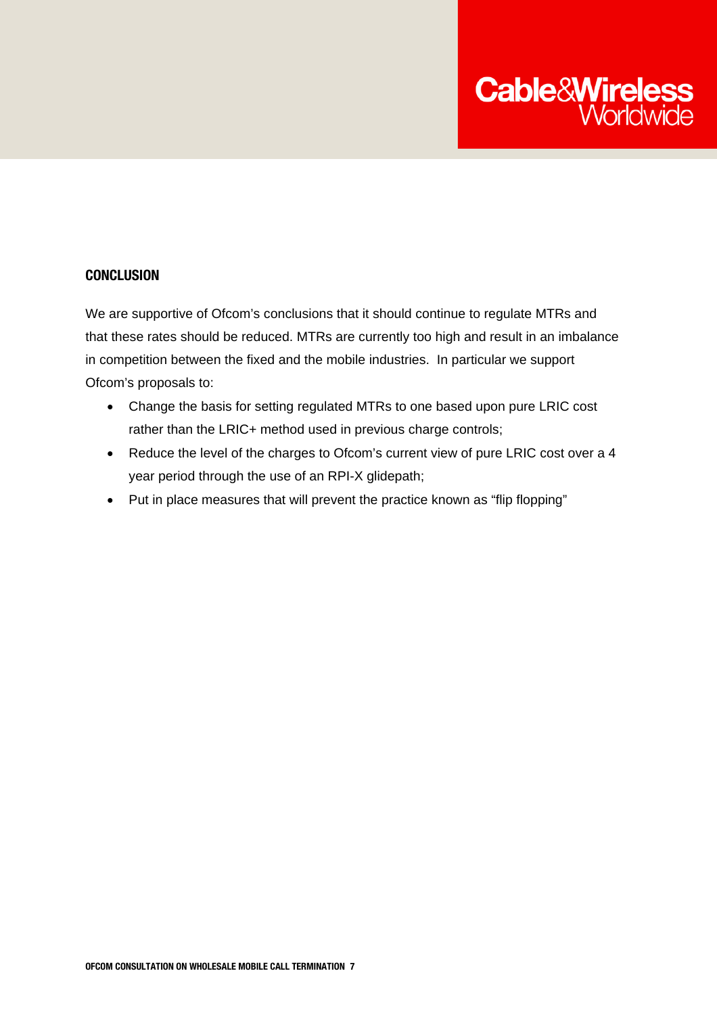

### **CONCLUSION**

We are supportive of Ofcom's conclusions that it should continue to regulate MTRs and that these rates should be reduced. MTRs are currently too high and result in an imbalance in competition between the fixed and the mobile industries. In particular we support Ofcom's proposals to:

- Change the basis for setting regulated MTRs to one based upon pure LRIC cost rather than the LRIC+ method used in previous charge controls;
- Reduce the level of the charges to Ofcom's current view of pure LRIC cost over a 4 year period through the use of an RPI-X glidepath;
- Put in place measures that will prevent the practice known as "flip flopping"